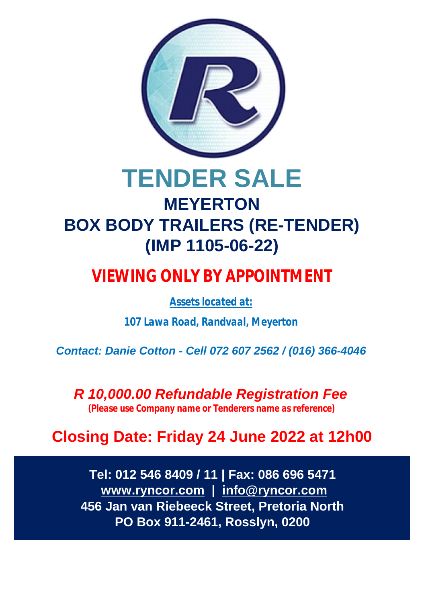

# **TENDER SALE MEYERTON BOX BODY TRAILERS (RE-TENDER) (IMP 1105-06-22)**

## **VIEWING ONLY BY APPOINTMENT**

*Assets located at:*

*107 Lawa Road, Randvaal, Meyerton*

*Contact: Danie Cotton - Cell 072 607 2562 / (016) 366-4046*

*R 10,000.00 Refundable Registration Fee (Please use Company name or Tenderers name as reference)*

## **Closing Date: Friday 24 June 2022 at 12h00**

**Tel: 012 546 8409 / 11 | Fax: 086 696 5471  [www.ryncor.com](http://www.ryncor.com) | [info@ryncor.com](mailto:info@ryncor.com) 456 Jan van Riebeeck Street, Pretoria North PO Box 911-2461, Rosslyn, 0200**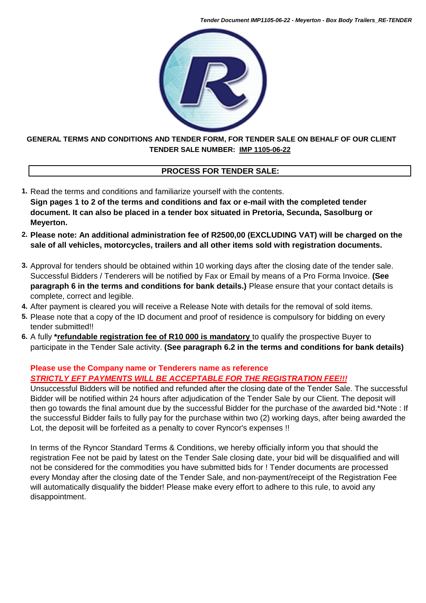*Tender Document IMP1105-06-22 - Meyerton - Box Body Trailers\_RE-TENDER*



### **TENDER SALE NUMBER: IMP 1105-06-22 GENERAL TERMS AND CONDITIONS AND TENDER FORM, FOR TENDER SALE ON BEHALF OF OUR CLIENT**

### **PROCESS FOR TENDER SALE:**

- **1.** Read the terms and conditions and familiarize yourself with the contents. **Sign pages 1 to 2 of the terms and conditions and fax or e-mail with the completed tender document. It can also be placed in a tender box situated in Pretoria, Secunda, Sasolburg or Meyerton.**
- **2. Please note: An additional administration fee of R2500,00 (EXCLUDING VAT) will be charged on the sale of all vehicles, motorcycles, trailers and all other items sold with registration documents.**
- **3.** Approval for tenders should be obtained within 10 working days after the closing date of the tender sale. Successful Bidders / Tenderers will be notified by Fax or Email by means of a Pro Forma Invoice. **(See paragraph 6 in the terms and conditions for bank details.)** Please ensure that your contact details is complete, correct and legible.
- **4.** After payment is cleared you will receive a Release Note with details for the removal of sold items.
- **5.** Please note that a copy of the ID document and proof of residence is compulsory for bidding on every tender submitted!!
- **6.** A fully **\*refundable registration fee of R10 000 is mandatory** to qualify the prospective Buyer to participate in the Tender Sale activity. **(See paragraph 6.2 in the terms and conditions for bank details)**

### **Please use the Company name or Tenderers name as reference** *STRICTLY EFT PAYMENTS WILL BE ACCEPTABLE FOR THE REGISTRATION FEE!!!*

Unsuccessful Bidders will be notified and refunded after the closing date of the Tender Sale. The successful Bidder will be notified within 24 hours after adjudication of the Tender Sale by our Client. The deposit will then go towards the final amount due by the successful Bidder for the purchase of the awarded bid.\*Note : If the successful Bidder fails to fully pay for the purchase within two (2) working days, after being awarded the Lot, the deposit will be forfeited as a penalty to cover Ryncor's expenses !!

In terms of the Ryncor Standard Terms & Conditions, we hereby officially inform you that should the registration Fee not be paid by latest on the Tender Sale closing date, your bid will be disqualified and will not be considered for the commodities you have submitted bids for ! Tender documents are processed every Monday after the closing date of the Tender Sale, and non-payment/receipt of the Registration Fee will automatically disqualify the bidder! Please make every effort to adhere to this rule, to avoid any disappointment.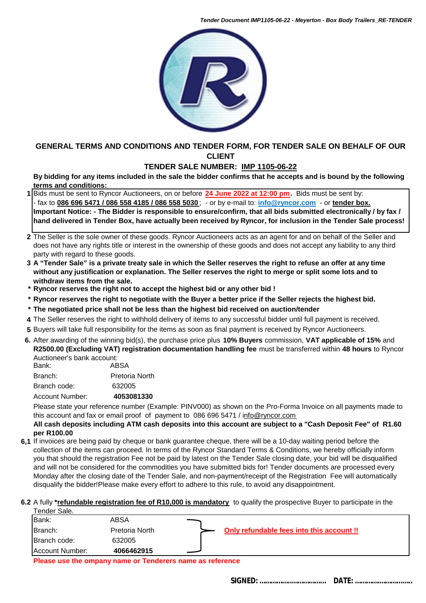*Tender Document IMP1105-06-22 - Meyerton - Box Body Trailers\_RE-TENDER*



### **GENERAL TERMS AND CONDITIONS AND TENDER FORM, FOR TENDER SALE ON BEHALF OF OUR CLIENT**

### **TENDER SALE NUMBER: IMP 1105-06-22**

**By bidding for any items included in the sale the bidder confirms that he accepts and is bound by the following terms and conditions:**

- **1** Bids must be sent to Ryncor Auctioneers, on or before **24 June 2022 at 12:00 pm.** Bids must be sent by: - fax to **086 696 5471 / 086 558 4185 / 086 558 5030** ; - or by e-mail to: **[info@ryncor.com](mailto:info@ryncor.com)** - or **tender box. Important Notice: - The Bidder is responsible to ensure/confirm, that all bids submitted electronically / by fax / hand delivered in Tender Box, have actually been received by Ryncor, for inclusion in the Tender Sale process!**
- **2** The Seller is the sole owner of these goods. Ryncor Auctioneers acts as an agent for and on behalf of the Seller and does not have any rights title or interest in the ownership of these goods and does not accept any liability to any third party with regard to these goods.
- **3 A "Tender Sale" is a private treaty sale in which the Seller reserves the right to refuse an offer at any time without any justification or explanation. The Seller reserves the right to merge or split some lots and to withdraw items from the sale.**
- **\* Ryncor reserves the right not to accept the highest bid or any other bid !**
- **\* Ryncor reserves the right to negotiate with the Buyer a better price if the Seller rejects the highest bid.**
- **\* The negotiated price shall not be less than the highest bid received on auction/tender**
- **4** The Seller reserves the right to withhold delivery of items to any successful bidder until full payment is received.
- **5** Buyers will take full responsibility for the items as soon as final payment is received by Ryncor Auctioneers.
- **6.** After awarding of the winning bid(s), the purchase price plus **10% Buyers** commission, **VAT applicable of 15%** and **R2500.00 (Excluding VAT) registration documentation handling fee** must be transferred within **48 hours** to Ryncor Auctioneer's bank account:

| Bank:           | Autiluliteti 3 Dalik attuulil.<br>ABSA |  |  |
|-----------------|----------------------------------------|--|--|
| Branch:         | Pretoria North                         |  |  |
| Branch code:    | 632005                                 |  |  |
| Account Number: | 4053081330                             |  |  |

Please state your reference number (Example: PINV000) as shown on the Pro-Forma Invoice on all payments made to this account and fax or email proof of payment to 086 696 5471 / i[nfo@ryncor.com](mailto:info@ryncor.com)

### **All cash deposits including ATM cash deposits into this account are subject to a "Cash Deposit Fee" of R1.60 per R100.00**

**6,1** If invoices are being paid by cheque or bank guarantee cheque, there will be a 10-day waiting period before the collection of the items can proceed. In terms of the Ryncor Standard Terms & Conditions, we hereby officially inform you that should the registration Fee not be paid by latest on the Tender Sale closing date, your bid will be disqualified and will not be considered for the commodities you have submitted bids for! Tender documents are processed every Monday after the closing date of the Tender Sale, and non-payment/receipt of the Registration Fee will automatically disqualify the bidder!Please make every effort to adhere to this rule, to avoid any disappointment.

#### **6.2** A fully **\*refundable registration fee of R10,000 is mandatory** to qualify the prospective Buyer to participate in the Tender Sale.

| Account Number: | 4066462915     |                                           |
|-----------------|----------------|-------------------------------------------|
| Branch code:    | 632005         |                                           |
| <b>IBranch:</b> | Pretoria North | Only refundable fees into this account !! |
| Bank:           | ABSA           |                                           |
| . טווטטו שעווט  |                |                                           |

**Please use the ompany name or Tenderers name as reference**

 **SIGNED: ……………..……………... DATE: ………….………...…..**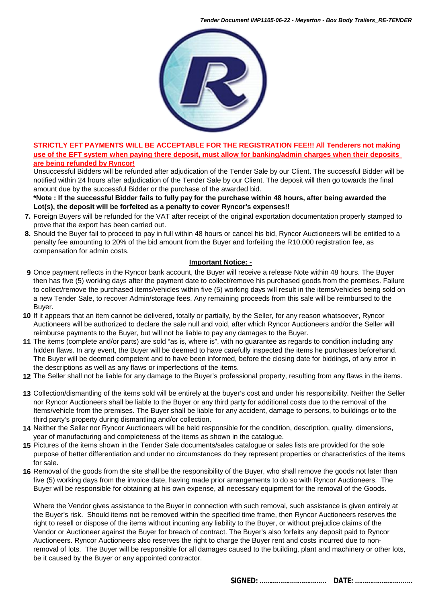

### **STRICTLY EFT PAYMENTS WILL BE ACCEPTABLE FOR THE REGISTRATION FEE!!! All Tenderers not making use of the EFT system when paying there deposit, must allow for banking/admin charges when their deposits are being refunded by Ryncor!**

Unsuccessful Bidders will be refunded after adjudication of the Tender Sale by our Client. The successful Bidder will be notified within 24 hours after adjudication of the Tender Sale by our Client. The deposit will then go towards the final amount due by the successful Bidder or the purchase of the awarded bid.

### **\*Note : If the successful Bidder fails to fully pay for the purchase within 48 hours, after being awarded the Lot(s), the deposit will be forfeited as a penalty to cover Ryncor's expenses!!**

- **7.** Foreign Buyers will be refunded for the VAT after receipt of the original exportation documentation properly stamped to prove that the export has been carried out.
- **8.** Should the Buyer fail to proceed to pay in full within 48 hours or cancel his bid, Ryncor Auctioneers will be entitled to a penalty fee amounting to 20% of the bid amount from the Buyer and forfeiting the R10,000 registration fee, as compensation for admin costs.

### **Important Notice: -**

- **9** Once payment reflects in the Ryncor bank account, the Buyer will receive a release Note within 48 hours. The Buyer then has five (5) working days after the payment date to collect/remove his purchased goods from the premises. Failure to collect/remove the purchased items/vehicles within five (5) working days will result in the items/vehicles being sold on a new Tender Sale, to recover Admin/storage fees. Any remaining proceeds from this sale will be reimbursed to the Buyer.
- **10** If it appears that an item cannot be delivered, totally or partially, by the Seller, for any reason whatsoever, Ryncor Auctioneers will be authorized to declare the sale null and void, after which Ryncor Auctioneers and/or the Seller will reimburse payments to the Buyer, but will not be liable to pay any damages to the Buyer.
- **11** The items (complete and/or parts) are sold "as is, where is", with no guarantee as regards to condition including any hidden flaws. In any event, the Buyer will be deemed to have carefully inspected the items he purchases beforehand. The Buyer will be deemed competent and to have been informed, before the closing date for biddings, of any error in the descriptions as well as any flaws or imperfections of the items.
- **12** The Seller shall not be liable for any damage to the Buyer's professional property, resulting from any flaws in the items.
- **13** Collection/dismantling of the items sold will be entirely at the buyer's cost and under his responsibility. Neither the Seller nor Ryncor Auctioneers shall be liable to the Buyer or any third party for additional costs due to the removal of the Items/vehicle from the premises. The Buyer shall be liable for any accident, damage to persons, to buildings or to the third party's property during dismantling and/or collection.
- **14** Neither the Seller nor Ryncor Auctioneers will be held responsible for the condition, description, quality, dimensions, year of manufacturing and completeness of the items as shown in the catalogue.
- **15** Pictures of the items shown in the Tender Sale documents/sales catalogue or sales lists are provided for the sole purpose of better differentiation and under no circumstances do they represent properties or characteristics of the items for sale.
- **16** Removal of the goods from the site shall be the responsibility of the Buyer, who shall remove the goods not later than five (5) working days from the invoice date, having made prior arrangements to do so with Ryncor Auctioneers. The Buyer will be responsible for obtaining at his own expense, all necessary equipment for the removal of the Goods.

Where the Vendor gives assistance to the Buyer in connection with such removal, such assistance is given entirely at the Buyer's risk. Should items not be removed within the specified time frame, then Ryncor Auctioneers reserves the right to resell or dispose of the items without incurring any liability to the Buyer, or without prejudice claims of the Vendor or Auctioneer against the Buyer for breach of contract. The Buyer's also forfeits any deposit paid to Ryncor Auctioneers. Ryncor Auctioneers also reserves the right to charge the Buyer rent and costs incurred due to nonremoval of lots. The Buyer will be responsible for all damages caused to the building, plant and machinery or other lots, be it caused by the Buyer or any appointed contractor.

 **SIGNED: ……………..……………... DATE: ………….………...…..**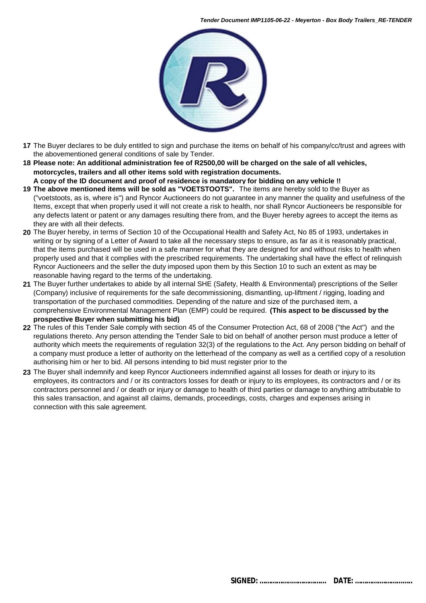

- **17** The Buyer declares to be duly entitled to sign and purchase the items on behalf of his company/cc/trust and agrees with the abovementioned general conditions of sale by Tender.
- **18 Please note: An additional administration fee of R2500,00 will be charged on the sale of all vehicles, motorcycles, trailers and all other items sold with registration documents.** 
	- **A copy of the ID document and proof of residence is mandatory for bidding on any vehicle !!**
- **19 The above mentioned items will be sold as "VOETSTOOTS".** The items are hereby sold to the Buyer as ("voetstoots, as is, where is") and Ryncor Auctioneers do not guarantee in any manner the quality and usefulness of the Items, except that when properly used it will not create a risk to health, nor shall Ryncor Auctioneers be responsible for any defects latent or patent or any damages resulting there from, and the Buyer hereby agrees to accept the items as they are with all their defects.
- **20** The Buyer hereby, in terms of Section 10 of the Occupational Health and Safety Act, No 85 of 1993, undertakes in writing or by signing of a Letter of Award to take all the necessary steps to ensure, as far as it is reasonably practical, that the items purchased will be used in a safe manner for what they are designed for and without risks to health when properly used and that it complies with the prescribed requirements. The undertaking shall have the effect of relinquish Ryncor Auctioneers and the seller the duty imposed upon them by this Section 10 to such an extent as may be reasonable having regard to the terms of the undertaking.
- **21** The Buyer further undertakes to abide by all internal SHE (Safety, Health & Environmental) prescriptions of the Seller (Company) inclusive of requirements for the safe decommissioning, dismantling, up-liftment / rigging, loading and transportation of the purchased commodities. Depending of the nature and size of the purchased item, a comprehensive Environmental Management Plan (EMP) could be required. **(This aspect to be discussed by the prospective Buyer when submitting his bid)**
- **22** The rules of this Tender Sale comply with section 45 of the Consumer Protection Act, 68 of 2008 ("the Act") and the regulations thereto. Any person attending the Tender Sale to bid on behalf of another person must produce a letter of authority which meets the requirements of regulation 32(3) of the regulations to the Act. Any person bidding on behalf of a company must produce a letter of authority on the letterhead of the company as well as a certified copy of a resolution authorising him or her to bid. All persons intending to bid must register prior to the
- **23** The Buyer shall indemnify and keep Ryncor Auctioneers indemnified against all losses for death or injury to its employees, its contractors and / or its contractors losses for death or injury to its employees, its contractors and / or its contractors personnel and / or death or injury or damage to health of third parties or damage to anything attributable to this sales transaction, and against all claims, demands, proceedings, costs, charges and expenses arising in connection with this sale agreement.

 **SIGNED: ……………..……………... DATE: ………….………...…..**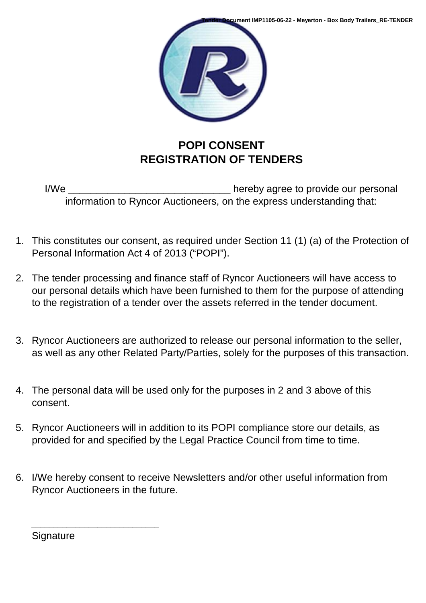

### **POPI CONSENT REGISTRATION OF TENDERS**

I/We **I/We I/We** *I/We I/We I/We I/We I/We I/We I/We I/We I/We I/We I/We I/Me I/Me I/Me I/Me I/Me I/Me I/Me I/Me I/Me I/Me I/Me I/M* information to Ryncor Auctioneers, on the express understanding that:

- 1. This constitutes our consent, as required under Section 11 (1) (a) of the Protection of Personal Information Act 4 of 2013 ("POPI").
- 2. The tender processing and finance staff of Ryncor Auctioneers will have access to our personal details which have been furnished to them for the purpose of attending to the registration of a tender over the assets referred in the tender document.
- 3. Ryncor Auctioneers are authorized to release our personal information to the seller, as well as any other Related Party/Parties, solely for the purposes of this transaction.
- 4. The personal data will be used only for the purposes in 2 and 3 above of this consent.
- 5. Ryncor Auctioneers will in addition to its POPI compliance store our details, as provided for and specified by the Legal Practice Council from time to time.
- 6. I/We hereby consent to receive Newsletters and/or other useful information from Ryncor Auctioneers in the future.

**Signature** 

\_\_\_\_\_\_\_\_\_\_\_\_\_\_\_\_\_\_\_\_\_\_\_\_\_\_\_\_\_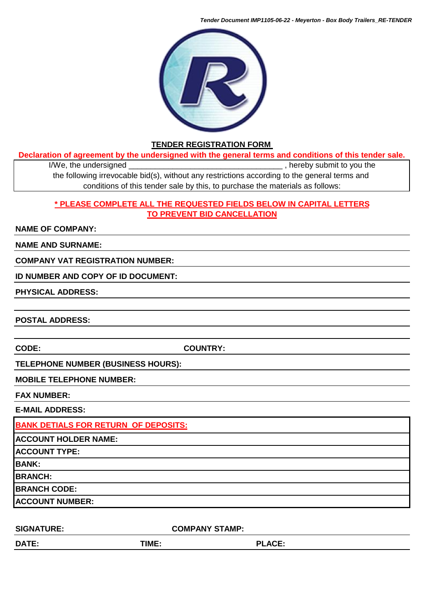*Tender Document IMP1105-06-22 - Meyerton - Box Body Trailers\_RE-TENDER*



### **TENDER REGISTRATION FORM**

**Declaration of agreement by the undersigned with the general terms and conditions of this tender sale.**

I/We, the undersigned \_\_\_\_\_\_\_\_\_\_\_\_\_\_\_\_\_\_\_\_\_\_\_\_\_\_\_\_\_\_\_\_\_\_\_ , hereby submit to you the the following irrevocable bid(s), without any restrictions according to the general terms and conditions of this tender sale by this, to purchase the materials as follows:

### **\* PLEASE COMPLETE ALL THE REQUESTED FIELDS BELOW IN CAPITAL LETTERS TO PREVENT BID CANCELLATION**

### **NAME OF COMPANY:**

### **NAME AND SURNAME:**

### **COMPANY VAT REGISTRATION NUMBER:**

### **ID NUMBER AND COPY OF ID DOCUMENT:**

### **PHYSICAL ADDRESS:**

**POSTAL ADDRESS:**

**CODE: COUNTRY:**

### **TELEPHONE NUMBER (BUSINESS HOURS):**

### **MOBILE TELEPHONE NUMBER:**

### **FAX NUMBER:**

**E-MAIL ADDRESS:** 

**BANK DETIALS FOR RETURN OF DEPOSITS: ACCOUNT HOLDER NAME: ACCOUNT TYPE: BANK: BRANCH: BRANCH CODE: ACCOUNT NUMBER:**

| <b>SIGNATURE:</b> | <b>COMPANY STAMP:</b> |               |  |
|-------------------|-----------------------|---------------|--|
| <b>DATE:</b>      | <b>TIME:</b>          | <b>PLACE:</b> |  |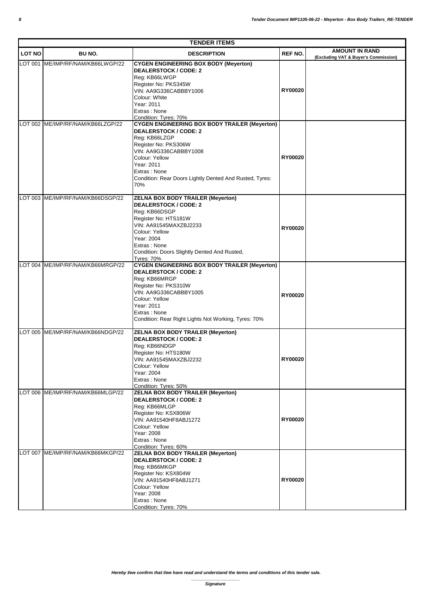| <b>TENDER ITEMS</b> |                                   |                                                                                                                                                                                                                                                                           |                |                                                               |  |
|---------------------|-----------------------------------|---------------------------------------------------------------------------------------------------------------------------------------------------------------------------------------------------------------------------------------------------------------------------|----------------|---------------------------------------------------------------|--|
| <b>LOT NO</b>       | BU NO.                            | <b>DESCRIPTION</b>                                                                                                                                                                                                                                                        | <b>REF NO.</b> | <b>AMOUNT IN RAND</b><br>(Excluding VAT & Buyer's Commission) |  |
| <b>LOT 001</b>      | ME/IMP/RF/NAM/KB66LWGP/22         | <b>CYGEN ENGINEERING BOX BODY (Meyerton)</b><br><b>DEALERSTOCK / CODE: 2</b><br>Reg: KB66LWGP<br>Register No: PKS345W<br>VIN: AA9G336CABBBY1006<br>Colour: White<br>Year: 2011<br>Extras: None<br>Condition: Tyres: 70%                                                   | RY00020        |                                                               |  |
| LOT 002             | ME/IMP/RF/NAM/KB66LZGP/22         | <b>CYGEN ENGINEERING BOX BODY TRAILER (Meyerton)</b><br><b>DEALERSTOCK / CODE: 2</b><br>Req: KB66LZGP<br>Register No: PKS306W<br>VIN: AA9G336CABBBY1008<br>Colour: Yellow<br>Year: 2011<br>Extras: None<br>Condition: Rear Doors Lightly Dented And Rusted, Tyres:<br>70% | RY00020        |                                                               |  |
|                     | LOT 003 ME/IMP/RF/NAM/KB66DSGP/22 | <b>ZELNA BOX BODY TRAILER (Meyerton)</b><br><b>DEALERSTOCK / CODE: 2</b><br>Reg: KB66DSGP<br>Register No: HTS181W<br>VIN: AA91545MAXZBJ2233<br>Colour: Yellow<br>Year: 2004<br>Extras: None<br>Condition: Doors Slightly Dented And Rusted,<br><b>Tyres: 70%</b>          | RY00020        |                                                               |  |
|                     | LOT 004 ME/IMP/RF/NAM/KB66MRGP/22 | <b>CYGEN ENGINEERING BOX BODY TRAILER (Meyerton)</b><br><b>DEALERSTOCK / CODE: 2</b><br>Reg: KB66MRGP<br>Register No: PKS310W<br>VIN: AA9G336CABBBY1005<br>Colour: Yellow<br>Year: 2011<br>Extras: None<br>Condition: Rear Right Lights Not Working, Tyres: 70%           | RY00020        |                                                               |  |
|                     | LOT 005 ME/IMP/RF/NAM/KB66NDGP/22 | <b>ZELNA BOX BODY TRAILER (Meyerton)</b><br><b>DEALERSTOCK / CODE: 2</b><br>Reg: KB66NDGP<br>Register No: HTS180W<br>VIN: AA91545MAXZBJ2232<br>Colour: Yellow<br>Year: 2004<br>Extras: None<br>Condition: Tyres: 50%                                                      | RY00020        |                                                               |  |
|                     | LOT 006 ME/IMP/RF/NAM/KB66MLGP/22 | <b>ZELNA BOX BODY TRAILER (Meyerton)</b><br><b>DEALERSTOCK / CODE: 2</b><br>Req: KB66MLGP<br>Register No: KSX806W<br>VIN: AA91540HF8ABJ1272<br>Colour: Yellow<br>Year: 2008<br>Extras: None<br>Condition: Tyres: 60%                                                      | RY00020        |                                                               |  |
|                     | LOT 007 ME/IMP/RF/NAM/KB66MKGP/22 | <b>ZELNA BOX BODY TRAILER (Meyerton)</b><br><b>DEALERSTOCK / CODE: 2</b><br>Reg: KB66MKGP<br>Register No: KSX804W<br>VIN: AA91540HF8ABJ1271<br>Colour: Yellow<br>Year: 2008<br>Extras: None<br>Condition: Tyres: 70%                                                      | RY00020        |                                                               |  |